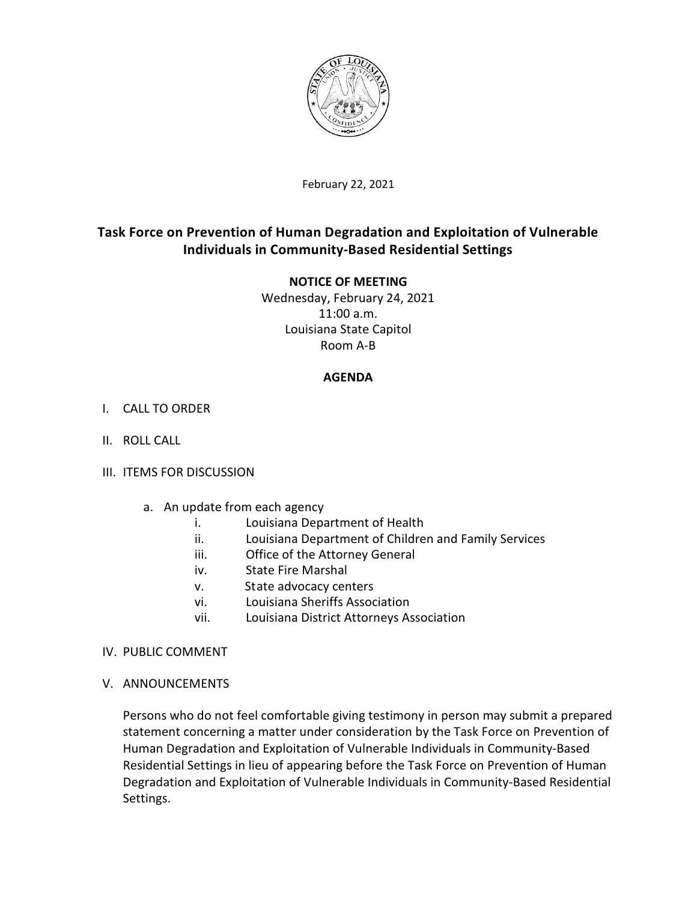

February 22, 2021

# **Task Force on Prevention of Human Degradation and Exploitation of Vulnerable Individuals in Community-Based Residential Settings**

# **NOTICE OF MEETING**

Wednesday, February 24, 2021 11:00 a.m. Louisiana State Capitol Room A-B

# **AGENDA**

# I. CALL TO ORDER

II. ROLL CALL

### III. ITEMS FOR DISCUSSION

- a. An update from each agency
	- i. Louisiana Department of Health
	- ii. Louisiana Department of Children and Family Services
	- iii. Office of the Attorney General
	- iv. State Fire Marshal
	- v. State advocacy centers
	- vi. Louisiana Sheriffs Association
	- vii. Louisiana District Attorneys Association

### IV. PUBLIC COMMENT

V. ANNOUNCEMENTS

Persons who do not feel comfortable giving testimony in person may submit a prepared statement concerning a matter under consideration by the Task Force on Prevention of Human Degradation and Exploitation of Vulnerable Individuals in Community-Based Residential Settings in lieu of appearing before the Task Force on Prevention of Human Degradation and Exploitation of Vulnerable Individuals in Community-Based Residential Settings.